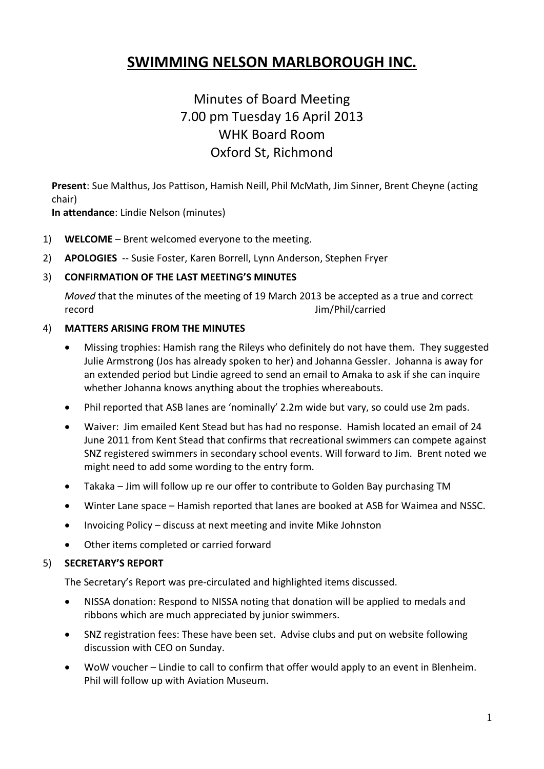# **SWIMMING NELSON MARLBOROUGH INC.**

# Minutes of Board Meeting 7.00 pm Tuesday 16 April 2013 WHK Board Room Oxford St, Richmond

**Present**: Sue Malthus, Jos Pattison, Hamish Neill, Phil McMath, Jim Sinner, Brent Cheyne (acting chair)

**In attendance**: Lindie Nelson (minutes)

- 1) **WELCOME** Brent welcomed everyone to the meeting.
- 2) **APOLOGIES** -- Susie Foster, Karen Borrell, Lynn Anderson, Stephen Fryer

#### 3) **CONFIRMATION OF THE LAST MEETING'S MINUTES**

*Moved* that the minutes of the meeting of 19 March 2013 be accepted as a true and correct record Jim/Phil/carried

#### 4) **MATTERS ARISING FROM THE MINUTES**

- Missing trophies: Hamish rang the Rileys who definitely do not have them. They suggested Julie Armstrong (Jos has already spoken to her) and Johanna Gessler. Johanna is away for an extended period but Lindie agreed to send an email to Amaka to ask if she can inquire whether Johanna knows anything about the trophies whereabouts.
- Phil reported that ASB lanes are 'nominally' 2.2m wide but vary, so could use 2m pads.
- Waiver: Jim emailed Kent Stead but has had no response. Hamish located an email of 24 June 2011 from Kent Stead that confirms that recreational swimmers can compete against SNZ registered swimmers in secondary school events. Will forward to Jim. Brent noted we might need to add some wording to the entry form.
- Takaka Jim will follow up re our offer to contribute to Golden Bay purchasing TM
- Winter Lane space Hamish reported that lanes are booked at ASB for Waimea and NSSC.
- Invoicing Policy discuss at next meeting and invite Mike Johnston
- Other items completed or carried forward

#### 5) **SECRETARY'S REPORT**

The Secretary's Report was pre-circulated and highlighted items discussed.

- NISSA donation: Respond to NISSA noting that donation will be applied to medals and ribbons which are much appreciated by junior swimmers.
- SNZ registration fees: These have been set. Advise clubs and put on website following discussion with CEO on Sunday.
- WoW voucher Lindie to call to confirm that offer would apply to an event in Blenheim. Phil will follow up with Aviation Museum.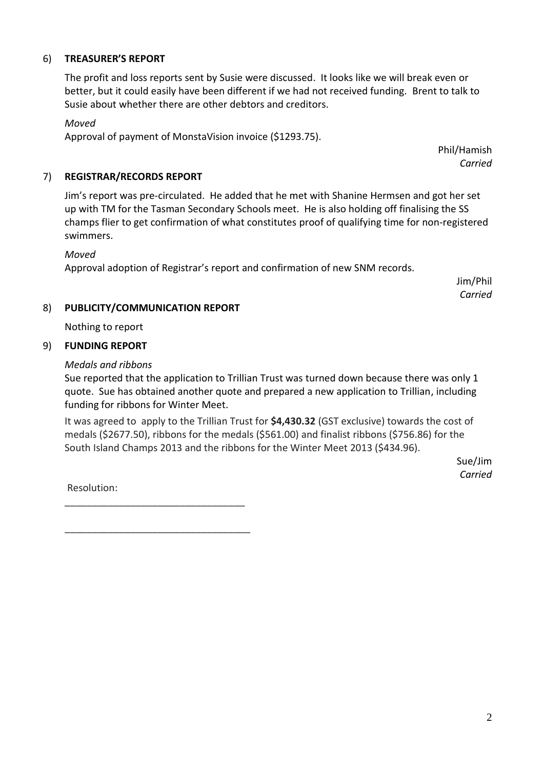#### 6) **TREASURER'S REPORT**

The profit and loss reports sent by Susie were discussed. It looks like we will break even or better, but it could easily have been different if we had not received funding. Brent to talk to Susie about whether there are other debtors and creditors.

#### *Moved*

Approval of payment of MonstaVision invoice (\$1293.75).

Phil/Hamish *Carried*

#### 7) **REGISTRAR/RECORDS REPORT**

Jim's report was pre-circulated. He added that he met with Shanine Hermsen and got her set up with TM for the Tasman Secondary Schools meet. He is also holding off finalising the SS champs flier to get confirmation of what constitutes proof of qualifying time for non-registered swimmers.

#### *Moved*

Approval adoption of Registrar's report and confirmation of new SNM records.

Jim/Phil *Carried*

#### 8) **PUBLICITY/COMMUNICATION REPORT**

\_\_\_\_\_\_\_\_\_\_\_\_\_\_\_\_\_\_\_\_\_\_\_\_\_\_\_\_\_\_\_\_\_

\_\_\_\_\_\_\_\_\_\_\_\_\_\_\_\_\_\_\_\_\_\_\_\_\_\_\_\_\_\_\_\_\_\_

Nothing to report

# 9) **FUNDING REPORT**

#### *Medals and ribbons*

Sue reported that the application to Trillian Trust was turned down because there was only 1 quote. Sue has obtained another quote and prepared a new application to Trillian, including funding for ribbons for Winter Meet.

It was agreed to apply to the Trillian Trust for **\$4,430.32** (GST exclusive) towards the cost of medals (\$2677.50), ribbons for the medals (\$561.00) and finalist ribbons (\$756.86) for the South Island Champs 2013 and the ribbons for the Winter Meet 2013 (\$434.96).

> Sue/Jim *Carried*

Resolution:

2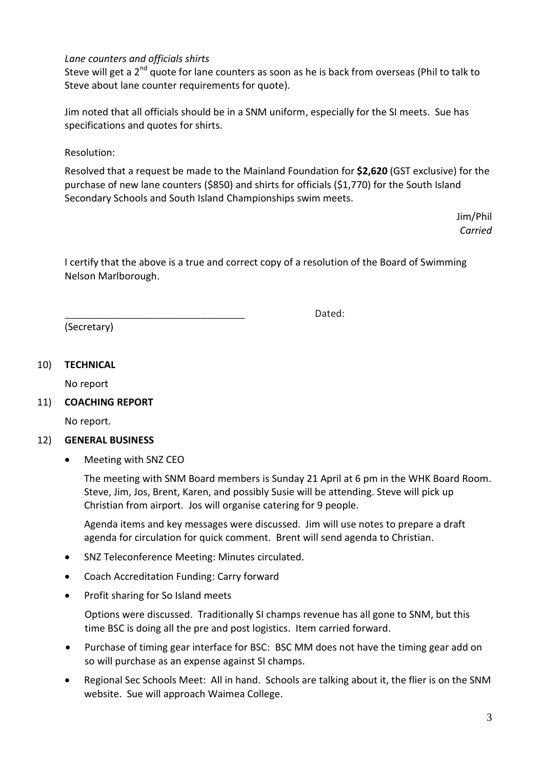#### *Lane counters and officials shirts*

Steve will get a 2<sup>nd</sup> quote for lane counters as soon as he is back from overseas (Phil to talk to Steve about lane counter requirements for quote).

Jim noted that all officials should be in a SNM uniform, especially for the SI meets. Sue has specifications and quotes for shirts.

Resolution:

Resolved that a request be made to the Mainland Foundation for **\$2,620** (GST exclusive) for the purchase of new lane counters (\$850) and shirts for officials (\$1,770) for the South Island Secondary Schools and South Island Championships swim meets.

> Jim/Phil *Carried*

I certify that the above is a true and correct copy of a resolution of the Board of Swimming Nelson Marlborough.

\_\_\_\_\_\_\_\_\_\_\_\_\_\_\_\_\_\_\_\_\_\_\_\_\_\_\_\_\_\_\_\_\_ Dated:

(Secretary)

### 10) **TECHNICAL**

No report

11) **COACHING REPORT**

No report.

#### 12) **GENERAL BUSINESS**

Meeting with SNZ CEO

The meeting with SNM Board members is Sunday 21 April at 6 pm in the WHK Board Room. Steve, Jim, Jos, Brent, Karen, and possibly Susie will be attending. Steve will pick up Christian from airport. Jos will organise catering for 9 people.

Agenda items and key messages were discussed. Jim will use notes to prepare a draft agenda for circulation for quick comment. Brent will send agenda to Christian.

- SNZ Teleconference Meeting: Minutes circulated.
- Coach Accreditation Funding: Carry forward
- Profit sharing for So Island meets

Options were discussed. Traditionally SI champs revenue has all gone to SNM, but this time BSC is doing all the pre and post logistics. Item carried forward.

- Purchase of timing gear interface for BSC: BSC MM does not have the timing gear add on so will purchase as an expense against SI champs.
- Regional Sec Schools Meet: All in hand. Schools are talking about it, the flier is on the SNM website. Sue will approach Waimea College.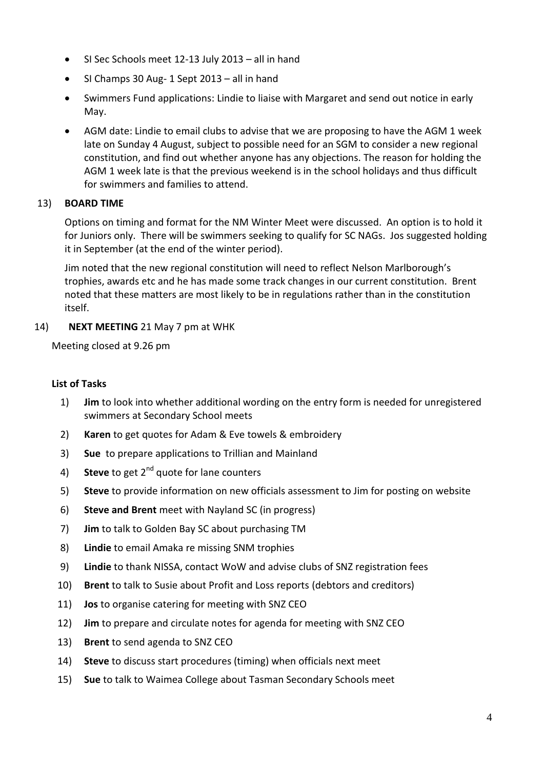- SI Sec Schools meet 12-13 July 2013 all in hand
- SI Champs 30 Aug- 1 Sept 2013 all in hand
- Swimmers Fund applications: Lindie to liaise with Margaret and send out notice in early May.
- AGM date: Lindie to email clubs to advise that we are proposing to have the AGM 1 week late on Sunday 4 August, subject to possible need for an SGM to consider a new regional constitution, and find out whether anyone has any objections. The reason for holding the AGM 1 week late is that the previous weekend is in the school holidays and thus difficult for swimmers and families to attend.

#### 13) **BOARD TIME**

Options on timing and format for the NM Winter Meet were discussed. An option is to hold it for Juniors only. There will be swimmers seeking to qualify for SC NAGs. Jos suggested holding it in September (at the end of the winter period).

Jim noted that the new regional constitution will need to reflect Nelson Marlborough's trophies, awards etc and he has made some track changes in our current constitution. Brent noted that these matters are most likely to be in regulations rather than in the constitution itself.

#### 14) **NEXT MEETING** 21 May 7 pm at WHK

Meeting closed at 9.26 pm

#### **List of Tasks**

- 1) **Jim** to look into whether additional wording on the entry form is needed for unregistered swimmers at Secondary School meets
- 2) **Karen** to get quotes for Adam & Eve towels & embroidery
- 3) **Sue** to prepare applications to Trillian and Mainland
- 4) Steve to get 2<sup>nd</sup> quote for lane counters
- 5) **Steve** to provide information on new officials assessment to Jim for posting on website
- 6) **Steve and Brent** meet with Nayland SC (in progress)
- 7) **Jim** to talk to Golden Bay SC about purchasing TM
- 8) **Lindie** to email Amaka re missing SNM trophies
- 9) **Lindie** to thank NISSA, contact WoW and advise clubs of SNZ registration fees
- 10) **Brent** to talk to Susie about Profit and Loss reports (debtors and creditors)
- 11) **Jos** to organise catering for meeting with SNZ CEO
- 12) **Jim** to prepare and circulate notes for agenda for meeting with SNZ CEO
- 13) **Brent** to send agenda to SNZ CEO
- 14) **Steve** to discuss start procedures (timing) when officials next meet
- 15) **Sue** to talk to Waimea College about Tasman Secondary Schools meet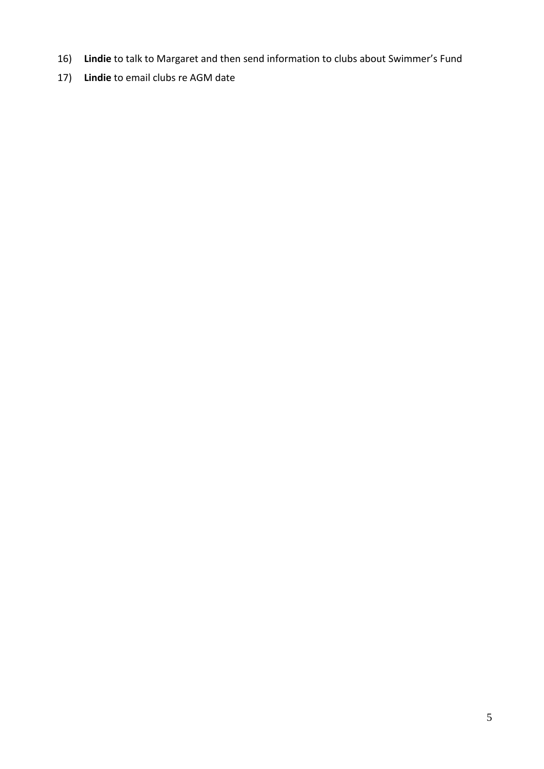- 16) **Lindie** to talk to Margaret and then send information to clubs about Swimmer's Fund
- 17) **Lindie** to email clubs re AGM date